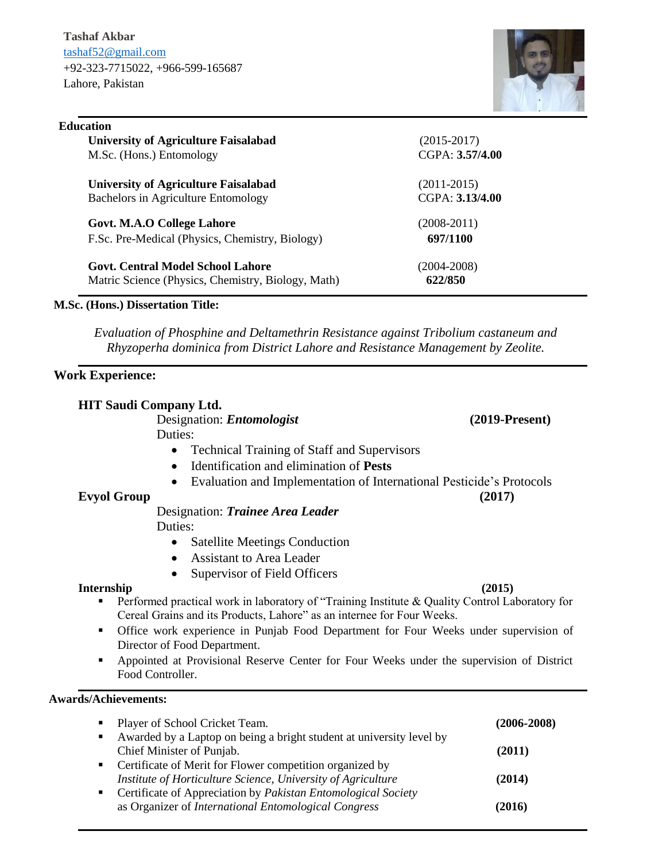**Tashaf Akbar** [tashaf52@gmail.com](mailto:tashaf52@gmail.com) +92-323-7715022, +966-599-165687 Lahore, Pakistan



| <b>Education</b>                                |                 |
|-------------------------------------------------|-----------------|
| <b>University of Agriculture Faisalabad</b>     | $(2015 - 2017)$ |
| M.Sc. (Hons.) Entomology                        | CGPA: 3.57/4.00 |
| <b>University of Agriculture Faisalabad</b>     | $(2011-2015)$   |
| Bachelors in Agriculture Entomology             | CGPA: 3.13/4.00 |
| Govt. M.A.O College Lahore                      | $(2008-2011)$   |
| F.Sc. Pre-Medical (Physics, Chemistry, Biology) | 697/1100        |
| $\alpha$ , $\alpha$ , interior it is            | (0.001, 0.00)   |

| <b>Govt. Central Model School Lahore</b>           | $(2004 - 2008)$ |
|----------------------------------------------------|-----------------|
| Matric Science (Physics, Chemistry, Biology, Math) | 622/850         |

# **M.Sc. (Hons.) Dissertation Title:**

*Evaluation of Phosphine and Deltamethrin Resistance against Tribolium castaneum and Rhyzoperha dominica from District Lahore and Resistance Management by Zeolite.*

# **Work Experience:**

| <b>HIT Saudi Company Ltd.</b> |                                                                                                                                                                          |                  |
|-------------------------------|--------------------------------------------------------------------------------------------------------------------------------------------------------------------------|------------------|
|                               | Designation: <i>Entomologist</i>                                                                                                                                         | $(2019-Present)$ |
| Duties:                       |                                                                                                                                                                          |                  |
|                               | <b>Technical Training of Staff and Supervisors</b>                                                                                                                       |                  |
| $\bullet$                     | Identification and elimination of Pests                                                                                                                                  |                  |
|                               | Evaluation and Implementation of International Pesticide's Protocols                                                                                                     |                  |
| <b>Evyol Group</b>            |                                                                                                                                                                          | (2017)           |
|                               | Designation: Trainee Area Leader                                                                                                                                         |                  |
| Duties:                       |                                                                                                                                                                          |                  |
| $\bullet$                     | <b>Satellite Meetings Conduction</b>                                                                                                                                     |                  |
|                               | <b>Assistant to Area Leader</b>                                                                                                                                          |                  |
| $\bullet$                     | Supervisor of Field Officers                                                                                                                                             |                  |
| Internship                    |                                                                                                                                                                          | (2015)           |
| п                             | Performed practical work in laboratory of "Training Institute & Quality Control Laboratory for<br>Cereal Grains and its Products, Lahore" as an internee for Four Weeks. |                  |
| ٠                             | Office work experience in Punjab Food Department for Four Weeks under supervision of<br>Director of Food Department.                                                     |                  |
| ٠<br>Food Controller.         | Appointed at Provisional Reserve Center for Four Weeks under the supervision of District                                                                                 |                  |
| <b>Awards/Achievements:</b>   |                                                                                                                                                                          |                  |
| ٠                             | Player of School Cricket Team.                                                                                                                                           | $(2006 - 2008)$  |
| п                             | Awarded by a Laptop on being a bright student at university level by                                                                                                     |                  |

Chief Minister of Punjab. **(2011)**

*Institute of Horticulture Science, University of Agriculture* **(2014)**

as Organizer of *International Entomological Congress* **(2016)**

**•** Certificate of Merit for Flower competition organized by

Certificate of Appreciation by *Pakistan Entomological Society*